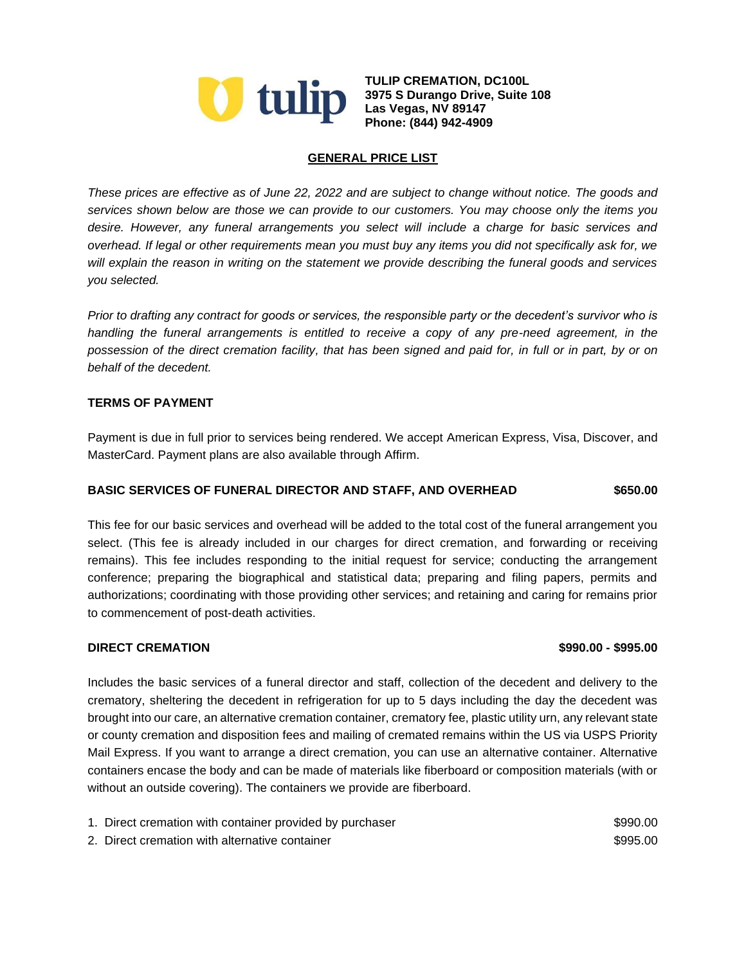

**TULIP CREMATION, DC100L 3975 S Durango Drive, Suite 108 Phone: (844) 942-4909**

# **GENERAL PRICE LIST**

*These prices are effective as of June 22, 2022 and are subject to change without notice. The goods and services shown below are those we can provide to our customers. You may choose only the items you desire. However, any funeral arrangements you select will include a charge for basic services and overhead. If legal or other requirements mean you must buy any items you did not specifically ask for, we will explain the reason in writing on the statement we provide describing the funeral goods and services you selected.*

*Prior to drafting any contract for goods or services, the responsible party or the decedent's survivor who is handling the funeral arrangements is entitled to receive a copy of any pre-need agreement, in the possession of the direct cremation facility, that has been signed and paid for, in full or in part, by or on behalf of the decedent.*

### **TERMS OF PAYMENT**

Payment is due in full prior to services being rendered. We accept American Express, Visa, Discover, and MasterCard. Payment plans are also available through Affirm.

## **BASIC SERVICES OF FUNERAL DIRECTOR AND STAFF, AND OVERHEAD \$650.00**

This fee for our basic services and overhead will be added to the total cost of the funeral arrangement you select. (This fee is already included in our charges for direct cremation, and forwarding or receiving remains). This fee includes responding to the initial request for service; conducting the arrangement conference; preparing the biographical and statistical data; preparing and filing papers, permits and authorizations; coordinating with those providing other services; and retaining and caring for remains prior to commencement of post-death activities.

#### **DIRECT CREMATION \$990.00 - \$995.00**

Includes the basic services of a funeral director and staff, collection of the decedent and delivery to the crematory, sheltering the decedent in refrigeration for up to 5 days including the day the decedent was brought into our care, an alternative cremation container, crematory fee, plastic utility urn, any relevant state or county cremation and disposition fees and mailing of cremated remains within the US via USPS Priority Mail Express. If you want to arrange a direct cremation, you can use an alternative container. Alternative containers encase the body and can be made of materials like fiberboard or composition materials (with or without an outside covering). The containers we provide are fiberboard.

| 1. Direct cremation with container provided by purchaser | \$990.00 |
|----------------------------------------------------------|----------|
| 2. Direct cremation with alternative container           | \$995.00 |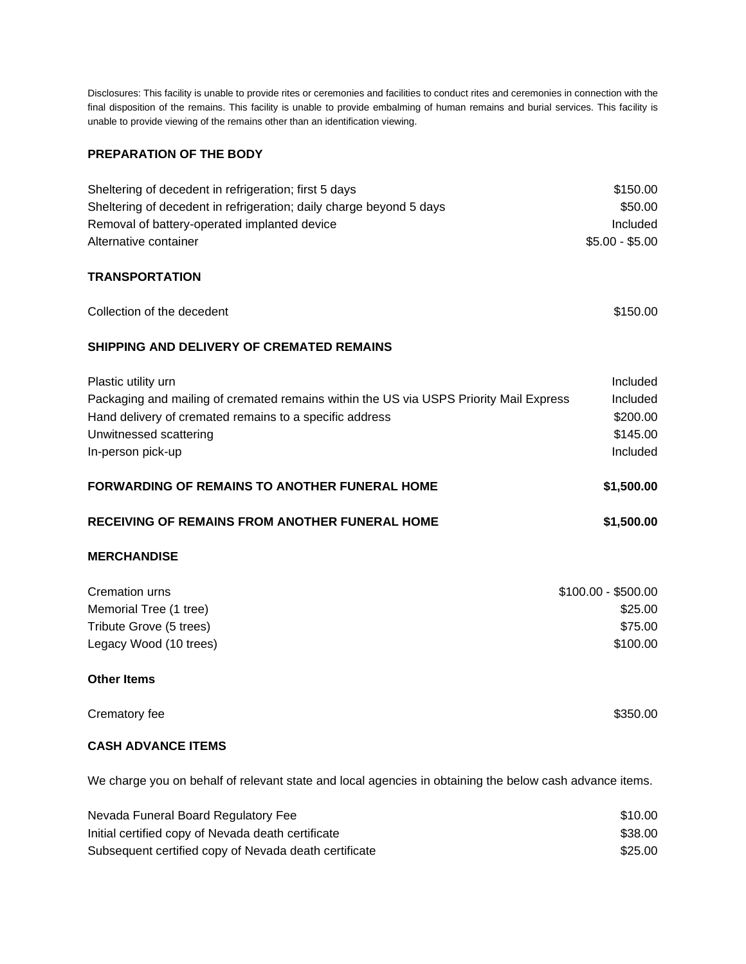Disclosures: This facility is unable to provide rites or ceremonies and facilities to conduct rites and ceremonies in connection with the final disposition of the remains. This facility is unable to provide embalming of human remains and burial services. This facility is unable to provide viewing of the remains other than an identification viewing.

# **PREPARATION OF THE BODY**

| Sheltering of decedent in refrigeration; first 5 days               | \$150.00        |
|---------------------------------------------------------------------|-----------------|
| Sheltering of decedent in refrigeration; daily charge beyond 5 days | \$50.00         |
| Removal of battery-operated implanted device                        | Included        |
| Alternative container                                               | $$5.00 - $5.00$ |

### **TRANSPORTATION**

| Collection of the decedent                                                             | \$150.00            |
|----------------------------------------------------------------------------------------|---------------------|
| <b>SHIPPING AND DELIVERY OF CREMATED REMAINS</b>                                       |                     |
| Plastic utility urn                                                                    | Included            |
| Packaging and mailing of cremated remains within the US via USPS Priority Mail Express | Included            |
| Hand delivery of cremated remains to a specific address                                | \$200.00            |
| Unwitnessed scattering                                                                 | \$145.00            |
| In-person pick-up                                                                      | Included            |
| <b>FORWARDING OF REMAINS TO ANOTHER FUNERAL HOME</b>                                   | \$1,500.00          |
| <b>RECEIVING OF REMAINS FROM ANOTHER FUNERAL HOME</b>                                  | \$1,500.00          |
| <b>MERCHANDISE</b>                                                                     |                     |
| Cremation urns                                                                         | $$100.00 - $500.00$ |
| Memorial Tree (1 tree)                                                                 | \$25.00             |
| Tribute Grove (5 trees)                                                                | \$75.00             |
| Legacy Wood (10 trees)                                                                 | \$100.00            |
| <b>Other Items</b>                                                                     |                     |
| Crematory fee                                                                          | \$350.00            |

## **CASH ADVANCE ITEMS**

We charge you on behalf of relevant state and local agencies in obtaining the below cash advance items.

| Nevada Funeral Board Regulatory Fee                   | \$10.00 |
|-------------------------------------------------------|---------|
| Initial certified copy of Nevada death certificate    | \$38.00 |
| Subsequent certified copy of Nevada death certificate | \$25.00 |